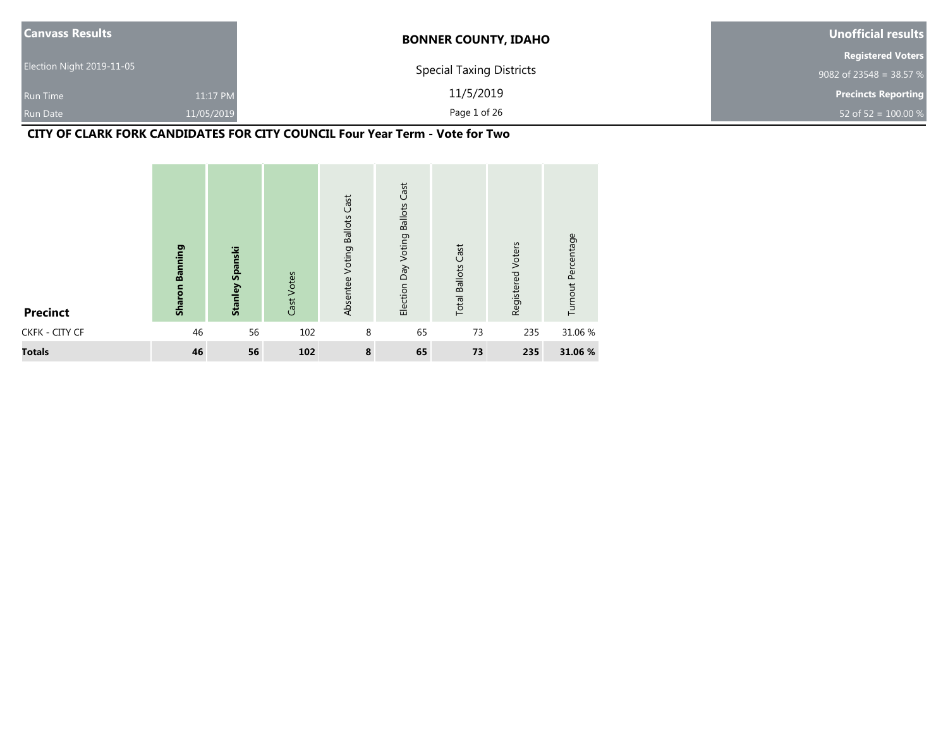| <b>Canvass Results</b>    |            | <b>BONNER COUNTY, IDAHO</b>     | Unofficial results         |
|---------------------------|------------|---------------------------------|----------------------------|
|                           |            |                                 | <b>Registered Voters</b>   |
| Election Night 2019-11-05 |            | <b>Special Taxing Districts</b> | 9082 of 23548 = 38.57 %    |
| Run Time                  | 11:17 PM   | 11/5/2019                       | <b>Precincts Reporting</b> |
| <b>Run Date</b>           | 11/05/2019 | Page 1 of 26                    | 52 of 52 = $100.00\%$      |

# **CITY OF CLARK FORK CANDIDATES FOR CITY COUNCIL Four Year Term - Vote for Two**

| <b>Precinct</b> | <b>Sharon Banning</b> | <b>Stanley Spanski</b> | Cast Votes | <b>Voting Ballots Cast</b><br>Absentee | Cast<br><b>Ballots</b><br>Voting<br>Election Day | <b>Total Ballots Cast</b> | Voters<br>Registered | Turnout Percentage |
|-----------------|-----------------------|------------------------|------------|----------------------------------------|--------------------------------------------------|---------------------------|----------------------|--------------------|
| CKFK - CITY CF  | 46                    | 56                     | 102        | 8                                      | 65                                               | 73                        | 235                  | 31.06 %            |
| <b>Totals</b>   | 46                    | 56                     | 102        | 8                                      | 65                                               | 73                        | 235                  | 31.06 %            |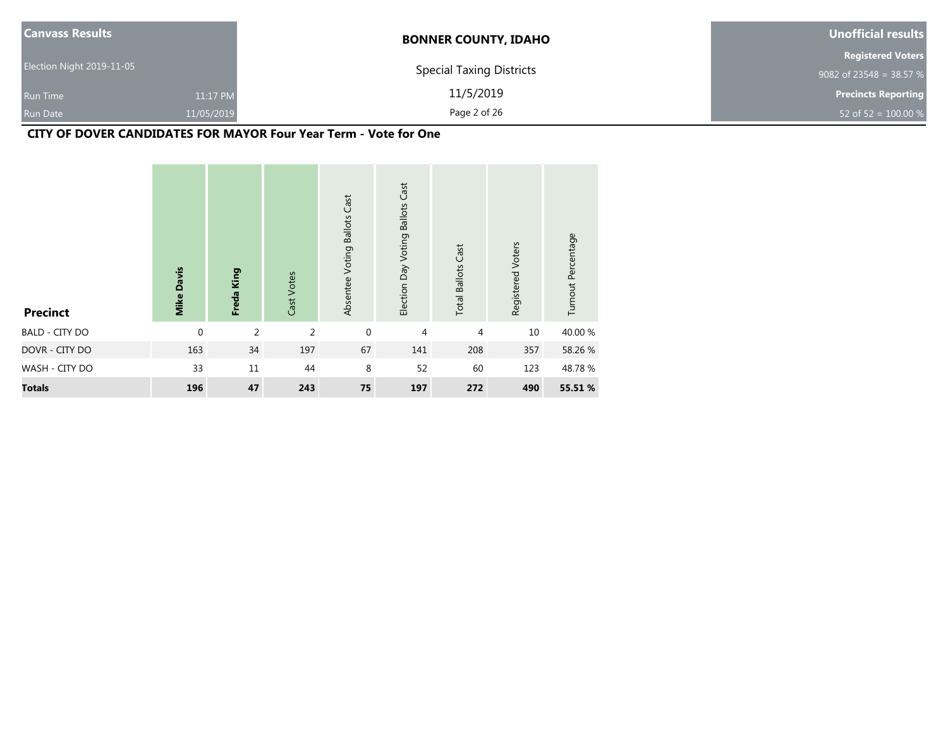| <b>Canvass Results</b>    |            | <b>BONNER COUNTY, IDAHO</b>     | Unofficial results         |
|---------------------------|------------|---------------------------------|----------------------------|
|                           |            |                                 | <b>Registered Voters</b>   |
| Election Night 2019-11-05 |            | <b>Special Taxing Districts</b> | 9082 of 23548 = 38.57 $%$  |
| <b>Run Time</b>           | 11:17 PM   | 11/5/2019                       | <b>Precincts Reporting</b> |
| <b>Run Date</b>           | 11/05/2019 | Page 2 of 26                    | 52 of 52 = $100.00\%$      |

# **CITY OF DOVER CANDIDATES FOR MAYOR Four Year Term - Vote for One**

| <b>Precinct</b>       | <b>Mike Davis</b> | Freda King     | Cast Votes     | Absentee Voting Ballots Cast | Cast<br><b>Ballots</b><br>Election Day Voting | <b>Total Ballots Cast</b> | Registered Voters | Turnout Percentage |
|-----------------------|-------------------|----------------|----------------|------------------------------|-----------------------------------------------|---------------------------|-------------------|--------------------|
| <b>BALD - CITY DO</b> | $\mathbf 0$       | $\overline{2}$ | $\overline{2}$ | $\mathbf 0$                  | 4                                             | 4                         | 10                | 40.00 %            |
| DOVR - CITY DO        | 163               | 34             | 197            | 67                           | 141                                           | 208                       | 357               | 58.26 %            |
| WASH - CITY DO        | 33                | 11             | 44             | 8                            | 52                                            | 60                        | 123               | 48.78%             |
| <b>Totals</b>         | 196               | 47             | 243            | 75                           | 197                                           | 272                       | 490               | 55.51 %            |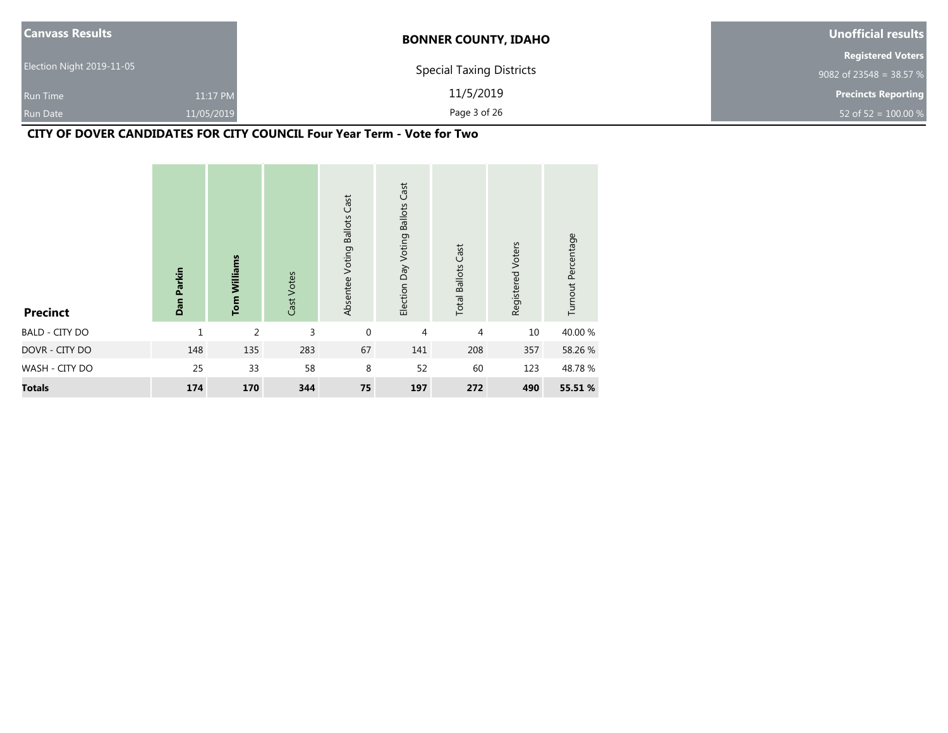| <b>Canvass Results</b>    |            | <b>BONNER COUNTY, IDAHO</b>     | Unofficial results         |
|---------------------------|------------|---------------------------------|----------------------------|
|                           |            |                                 | <b>Registered Voters</b>   |
| Election Night 2019-11-05 |            | <b>Special Taxing Districts</b> | 9082 of 23548 = 38.57 $%$  |
| Run Time                  | 11:17 PM   | 11/5/2019                       | <b>Precincts Reporting</b> |
| <b>Run Date</b>           | 11/05/2019 | Page 3 of 26                    | 52 of 52 = $100.00\%$      |

# **CITY OF DOVER CANDIDATES FOR CITY COUNCIL Four Year Term - Vote for Two**

| <b>Precinct</b>       | Dan Parkin   | <b>Tom Williams</b> | Cast Votes | Absentee Voting Ballots Cast | Election Day Voting Ballots Cast | <b>Total Ballots Cast</b> | Registered Voters | Turnout Percentage |
|-----------------------|--------------|---------------------|------------|------------------------------|----------------------------------|---------------------------|-------------------|--------------------|
| <b>BALD - CITY DO</b> | $\mathbf{1}$ | 2                   | 3          | $\mathbf{0}$                 | 4                                | 4                         | 10                | 40.00 %            |
| DOVR - CITY DO        | 148          | 135                 | 283        | 67                           | 141                              | 208                       | 357               | 58.26 %            |
| WASH - CITY DO        | 25           | 33                  | 58         | 8                            | 52                               | 60                        | 123               | 48.78%             |
| <b>Totals</b>         | 174          | 170                 | 344        | 75                           | 197                              | 272                       | 490               | 55.51 %            |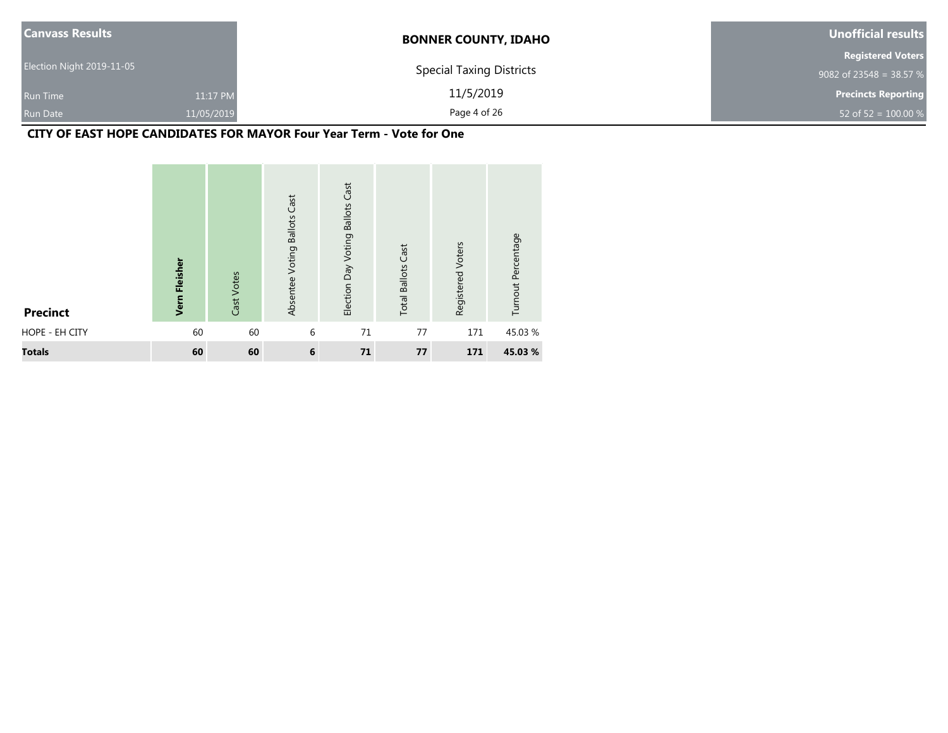| <b>Canvass Results</b>    |            | <b>BONNER COUNTY, IDAHO</b>     | Unofficial results         |
|---------------------------|------------|---------------------------------|----------------------------|
|                           |            |                                 | <b>Registered Voters</b>   |
| Election Night 2019-11-05 |            | <b>Special Taxing Districts</b> | 9082 of 23548 = 38.57 %    |
| <b>Run Time</b>           | 11:17 PM   | 11/5/2019                       | <b>Precincts Reporting</b> |
| <b>Run Date</b>           | 11/05/2019 | Page 4 of 26                    | 52 of 52 = $100.00\%$      |

#### **CITY OF EAST HOPE CANDIDATES FOR MAYOR Four Year Term - Vote for One**

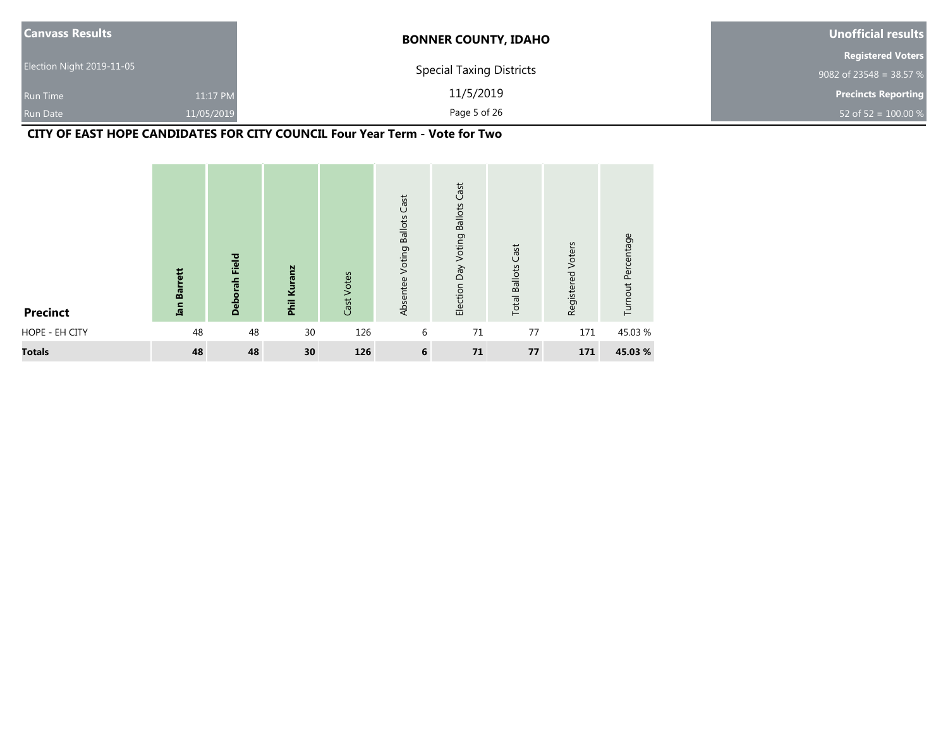| <b>Canvass Results</b>    |            | <b>BONNER COUNTY, IDAHO</b>     | Unofficial results         |
|---------------------------|------------|---------------------------------|----------------------------|
|                           |            |                                 | <b>Registered Voters</b>   |
| Election Night 2019-11-05 |            | <b>Special Taxing Districts</b> | 9082 of 23548 = 38.57 %    |
| <b>Run Time</b>           | 11:17 PM   | 11/5/2019                       | <b>Precincts Reporting</b> |
| <b>Run Date</b>           | 11/05/2019 | Page 5 of 26                    | 52 of 52 = $100.00 %$      |

**CITY OF EAST HOPE CANDIDATES FOR CITY COUNCIL Four Year Term - Vote for Two**

| <b>Precinct</b> | <b>Barrett</b><br>Ian | Field<br><b>Deborah</b> | Phil Kuranz     | Votes<br>Cast <sup>1</sup> | Cast<br><b>Ballots</b><br>Voting<br>Absentee | Cast<br><b>Ballots</b><br>Voting<br>Election Day | <b>Total Ballots Cast</b> | Registered Voters | Turnout Percentage |
|-----------------|-----------------------|-------------------------|-----------------|----------------------------|----------------------------------------------|--------------------------------------------------|---------------------------|-------------------|--------------------|
| HOPE - EH CITY  | 48                    | 48                      | 30              | 126                        | 6                                            | 71                                               | 77                        | 171               | 45.03%             |
| <b>Totals</b>   | 48                    | 48                      | 30 <sub>o</sub> | 126                        | 6                                            | 71                                               | 77                        | 171               | 45.03%             |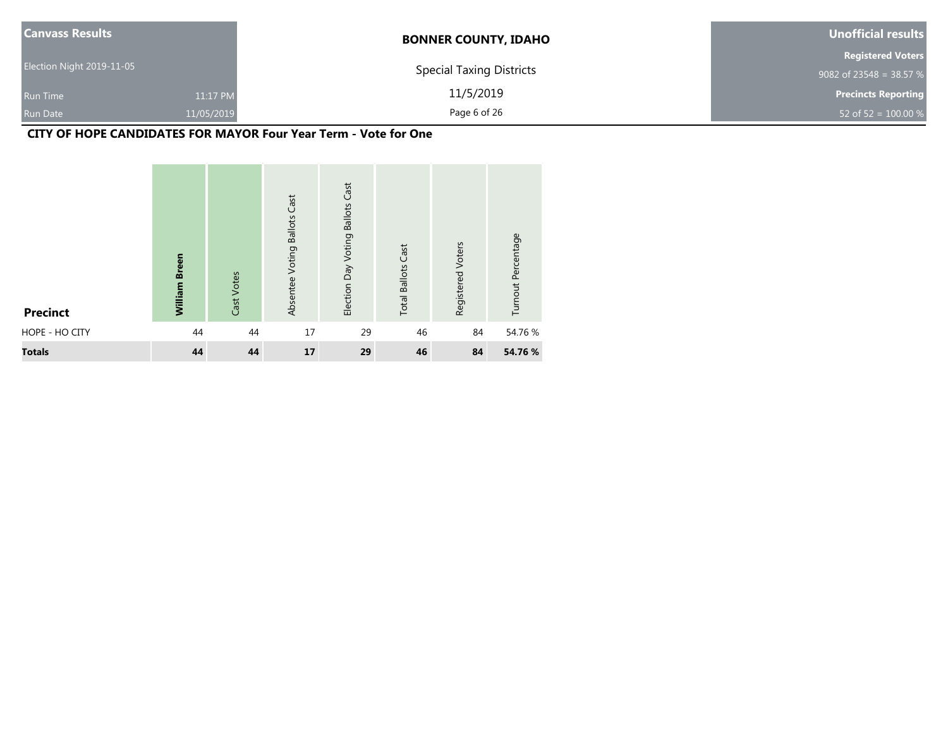| <b>Canvass Results</b>    |            | <b>BONNER COUNTY, IDAHO</b>     | <b>Unofficial results</b>  |
|---------------------------|------------|---------------------------------|----------------------------|
|                           |            |                                 | <b>Registered Voters</b>   |
| Election Night 2019-11-05 |            | <b>Special Taxing Districts</b> | 9082 of 23548 = 38.57 %    |
| <b>Run Time</b>           | 11:17 PM   | 11/5/2019                       | <b>Precincts Reporting</b> |
| Run Date                  | 11/05/2019 | Page 6 of 26                    | 52 of 52 = $100.00 %$      |

#### **CITY OF HOPE CANDIDATES FOR MAYOR Four Year Term - Vote for One**

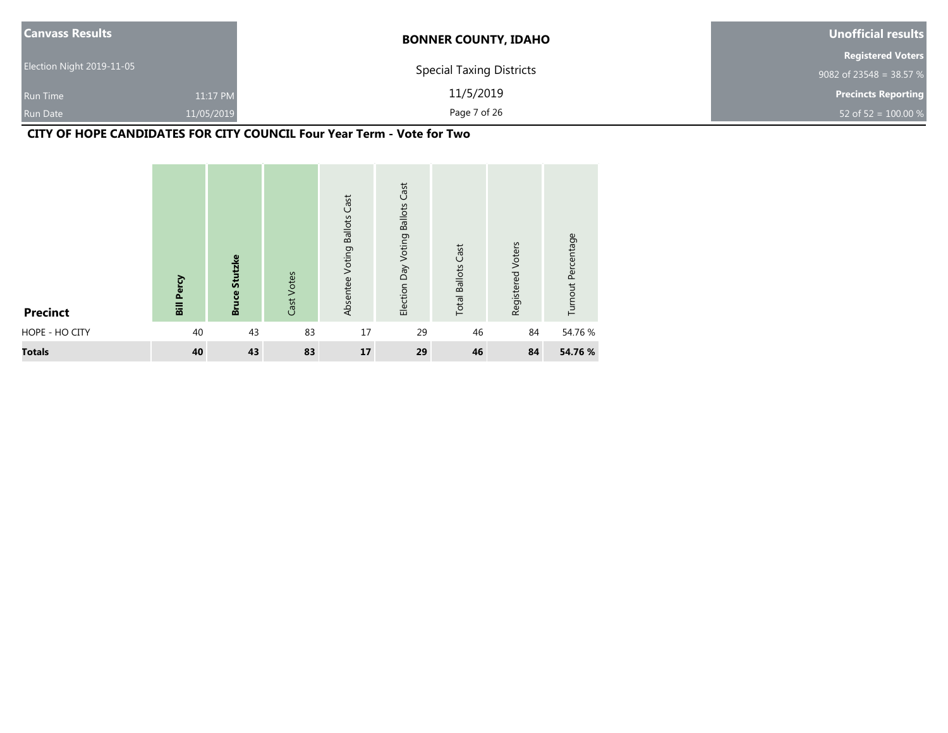| <b>Canvass Results</b>    |            | <b>BONNER COUNTY, IDAHO</b>     | Unofficial results         |
|---------------------------|------------|---------------------------------|----------------------------|
|                           |            |                                 | <b>Registered Voters</b>   |
| Election Night 2019-11-05 |            | <b>Special Taxing Districts</b> | 9082 of 23548 = 38.57 %    |
| <b>Run Time</b>           | 11:17 PM   | 11/5/2019                       | <b>Precincts Reporting</b> |
| <b>Run Date</b>           | 11/05/2019 | Page 7 of 26                    | 52 of 52 = $100.00 %$      |

## **CITY OF HOPE CANDIDATES FOR CITY COUNCIL Four Year Term - Vote for Two**

| <b>Precinct</b> | <b>Bill Percy</b> | <b>Bruce Stutzke</b> | Cast Votes | <b>Voting Ballots Cast</b><br>Absentee | Cast<br><b>Ballots</b><br>Election Day Voting | <b>Total Ballots Cast</b> | Registered Voters | Turnout Percentage |
|-----------------|-------------------|----------------------|------------|----------------------------------------|-----------------------------------------------|---------------------------|-------------------|--------------------|
| HOPE - HO CITY  | 40                | 43                   | 83         | 17                                     | 29                                            | 46                        | 84                | 54.76 %            |
| <b>Totals</b>   | 40                | 43                   | 83         | 17                                     | 29                                            | 46                        | 84                | 54.76 %            |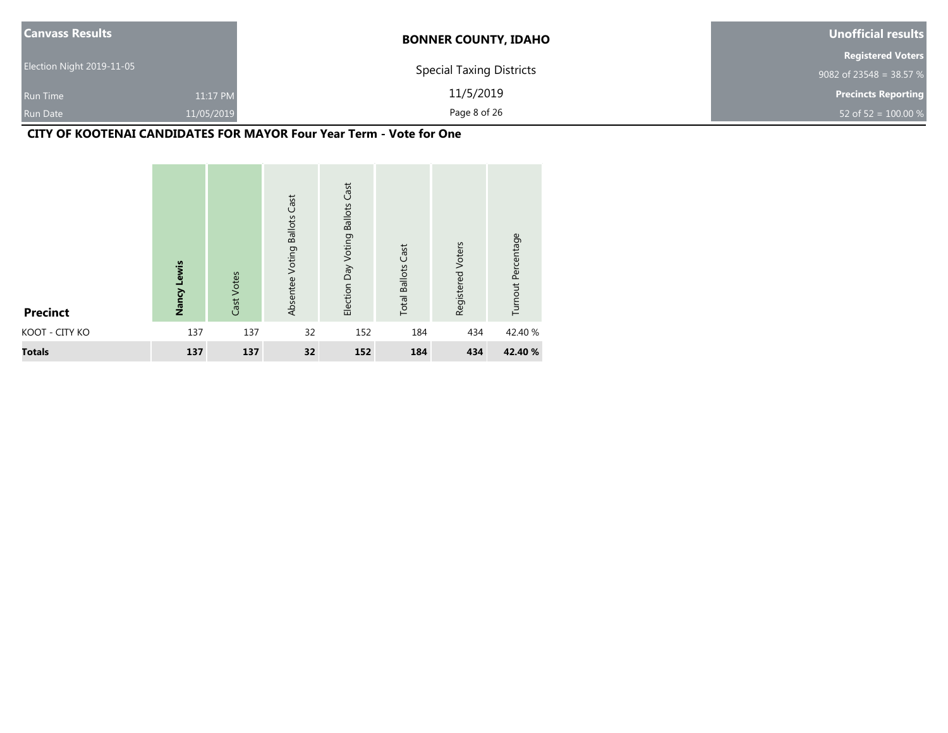| <b>Canvass Results</b>    |            | <b>BONNER COUNTY, IDAHO</b>     | Unofficial results         |
|---------------------------|------------|---------------------------------|----------------------------|
|                           |            |                                 | <b>Registered Voters</b>   |
| Election Night 2019-11-05 |            | <b>Special Taxing Districts</b> | 9082 of 23548 = 38.57 %    |
| <b>Run Time</b>           | 11:17 PM   | 11/5/2019                       | <b>Precincts Reporting</b> |
| <b>Run Date</b>           | 11/05/2019 | Page 8 of 26                    | 52 of 52 = $100.00\%$      |

# **CITY OF KOOTENAI CANDIDATES FOR MAYOR Four Year Term - Vote for One**

| <b>Precinct</b> | Nancy Lewis | Cast Votes | Absentee Voting Ballots Cast | <b>Ballots Cast</b><br>Election Day Voting | <b>Total Ballots Cast</b> | Voters<br>Registered | Turnout Percentage |
|-----------------|-------------|------------|------------------------------|--------------------------------------------|---------------------------|----------------------|--------------------|
| KOOT - CITY KO  | 137         | 137        | 32                           | 152                                        | 184                       | 434                  | 42.40 %            |
| <b>Totals</b>   | 137         | 137        | 32                           | 152                                        | 184                       | 434                  | 42.40 %            |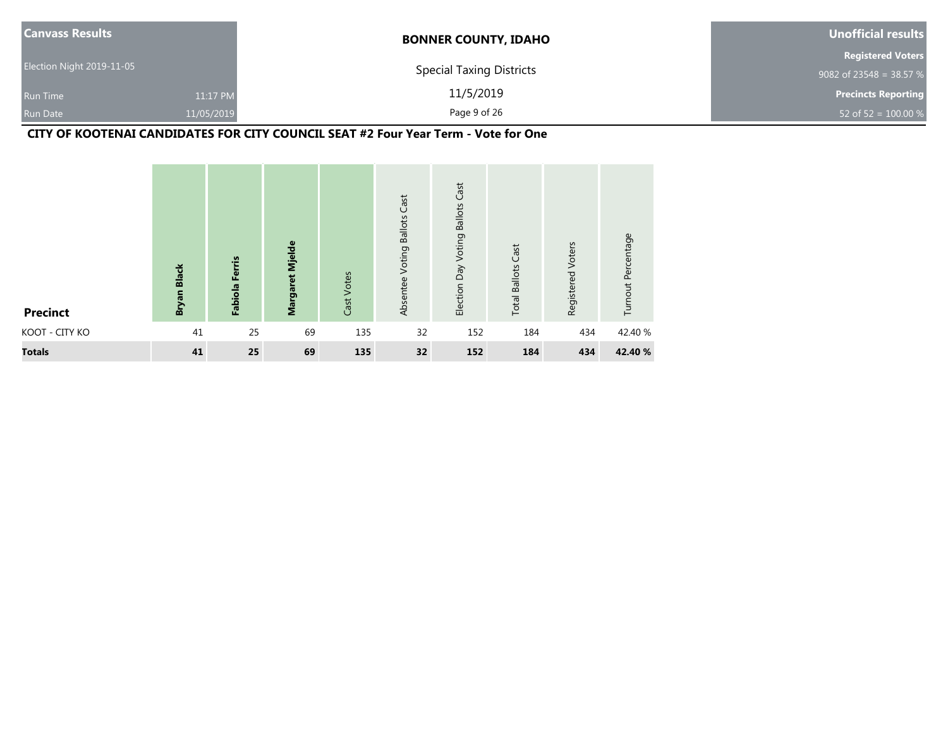| <b>Canvass Results</b>    |            | <b>BONNER COUNTY, IDAHO</b>     | Unofficial results         |
|---------------------------|------------|---------------------------------|----------------------------|
|                           |            |                                 | <b>Registered Voters</b>   |
| Election Night 2019-11-05 |            | <b>Special Taxing Districts</b> | 9082 of 23548 = 38.57 %    |
| <b>Run Time</b>           | 11:17 PM   | 11/5/2019                       | <b>Precincts Reporting</b> |
| <b>Run Date</b>           | 11/05/2019 | Page 9 of 26                    | 52 of 52 = $100.00 %$      |

## **CITY OF KOOTENAI CANDIDATES FOR CITY COUNCIL SEAT #2 Four Year Term - Vote for One**

| <b>Precinct</b> | Bryan Black | Ferris<br>Fabiola | Margaret Mjelde | Votes<br>Cast <sup>1</sup> | Cast<br><b>Ballots</b><br>Voting<br>Absentee | Cast<br><b>Ballots</b><br>Voting<br>Election Day | <b>Total Ballots Cast</b> | Voters<br>Registered | Turnout Percentage |
|-----------------|-------------|-------------------|-----------------|----------------------------|----------------------------------------------|--------------------------------------------------|---------------------------|----------------------|--------------------|
| KOOT - CITY KO  | 41          | 25                | 69              | 135                        | 32                                           | 152                                              | 184                       | 434                  | 42.40 %            |
| <b>Totals</b>   | 41          | 25                | 69              | 135                        | 32 <sup>2</sup>                              | 152                                              | 184                       | 434                  | 42.40 %            |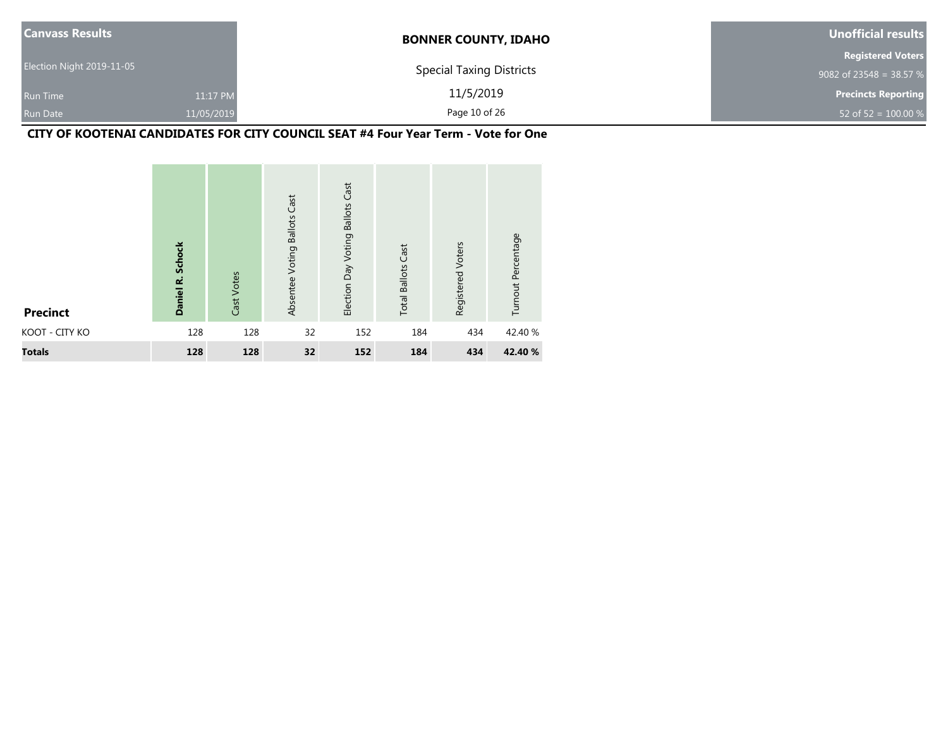| <b>Canvass Results</b>    |            | <b>BONNER COUNTY, IDAHO</b>     | Unofficial results         |
|---------------------------|------------|---------------------------------|----------------------------|
|                           |            |                                 | <b>Registered Voters</b>   |
| Election Night 2019-11-05 |            | <b>Special Taxing Districts</b> | 9082 of 23548 = 38.57 %    |
| <b>Run Time</b>           | 11:17 PM   | 11/5/2019                       | <b>Precincts Reporting</b> |
| <b>Run Date</b>           | 11/05/2019 | Page 10 of 26                   | 52 of $52 = 100.00 %$      |

## **CITY OF KOOTENAI CANDIDATES FOR CITY COUNCIL SEAT #4 Four Year Term - Vote for One**

| <b>Precinct</b> | <b>Schock</b><br>Daniel R. | Cast Votes | Absentee Voting Ballots Cast | <b>Ballots Cast</b><br>Election Day Voting | <b>Total Ballots Cast</b> | Registered Voters | Turnout Percentage |
|-----------------|----------------------------|------------|------------------------------|--------------------------------------------|---------------------------|-------------------|--------------------|
| KOOT - CITY KO  | 128                        | 128        | 32                           | 152                                        | 184                       | 434               | 42.40 %            |
| <b>Totals</b>   | 128                        | 128        | 32                           | 152                                        | 184                       | 434               | 42.40 %            |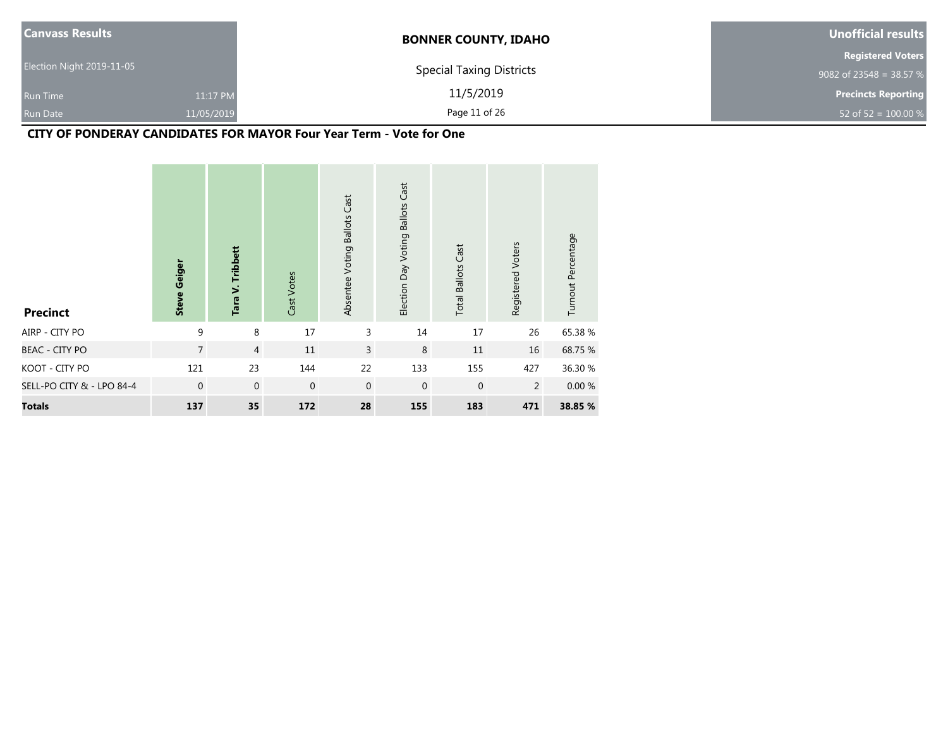| <b>Canvass Results</b>    |            | <b>BONNER COUNTY, IDAHO</b>     | Unofficial results         |
|---------------------------|------------|---------------------------------|----------------------------|
|                           |            |                                 | <b>Registered Voters</b>   |
| Election Night 2019-11-05 |            | <b>Special Taxing Districts</b> | 9082 of 23548 = 38.57 $%$  |
| <b>Run Time</b>           | 11:17 PM   | 11/5/2019                       | <b>Precincts Reporting</b> |
| <b>Run Date</b>           | 11/05/2019 | Page 11 of 26                   | 52 of 52 = $100.00 %$      |

### **CITY OF PONDERAY CANDIDATES FOR MAYOR Four Year Term - Vote for One**

| <b>Precinct</b>           | <b>Steve Geiger</b> | Tara V. Tribbett | Cast Votes   | Absentee Voting Ballots Cast | <b>Ballots Cast</b><br>Election Day Voting | <b>Total Ballots Cast</b> | Registered Voters | Turnout Percentage |
|---------------------------|---------------------|------------------|--------------|------------------------------|--------------------------------------------|---------------------------|-------------------|--------------------|
| AIRP - CITY PO            | 9                   | 8                | 17           | 3                            | 14                                         | 17                        | 26                | 65.38 %            |
| <b>BEAC - CITY PO</b>     | $\overline{7}$      | $\overline{4}$   | 11           | $\overline{3}$               | $\,8\,$                                    | 11                        | 16                | 68.75 %            |
| KOOT - CITY PO            | 121                 | 23               | 144          | 22                           | 133                                        | 155                       | 427               | 36.30 %            |
| SELL-PO CITY & - LPO 84-4 | $\mathbf{0}$        | $\mathbf 0$      | $\mathbf{0}$ | $\mathbf{0}$                 | $\mathbf 0$                                | $\mathbf 0$               | $\overline{2}$    | 0.00%              |
| <b>Totals</b>             | 137                 | 35               | 172          | 28                           | 155                                        | 183                       | 471               | 38.85 %            |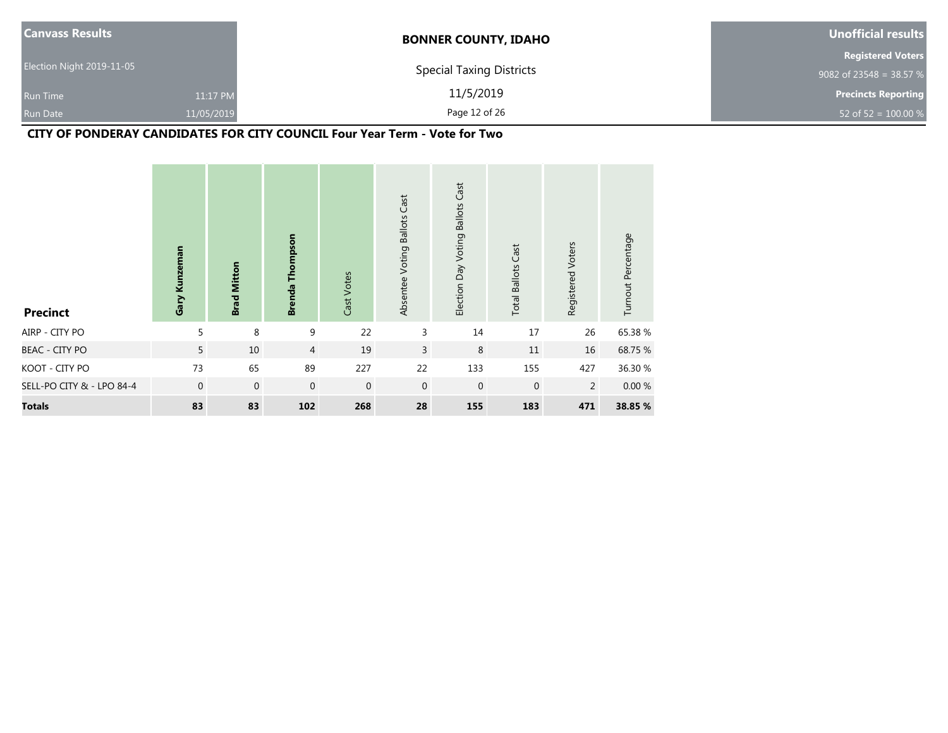| <b>Canvass Results</b>        | <b>BONNER COUNTY, IDAHO</b>     | Unofficial results         |
|-------------------------------|---------------------------------|----------------------------|
|                               |                                 | <b>Registered Voters</b>   |
| Election Night 2019-11-05     | <b>Special Taxing Districts</b> | 9082 of 23548 = 38.57 %    |
| <b>Run Time</b>               | 11/5/2019<br>11:17 PM           | <b>Precincts Reporting</b> |
| 11/05/2019<br><b>Run Date</b> | Page 12 of 26                   | 52 of 52 = $100.00 %$      |

# **CITY OF PONDERAY CANDIDATES FOR CITY COUNCIL Four Year Term - Vote for Two**

| <b>Precinct</b>           | Gary Kunzeman  | <b>Brad Mitton</b> | <b>Brenda Thompson</b> | Cast Votes  | Cast<br>Voting Ballots<br>Absentee | Election Day Voting Ballots Cast | <b>Total Ballots Cast</b> | Registered Voters | Turnout Percentage |
|---------------------------|----------------|--------------------|------------------------|-------------|------------------------------------|----------------------------------|---------------------------|-------------------|--------------------|
| AIRP - CITY PO            | 5              | 8                  | 9                      | 22          | 3                                  | 14                               | 17                        | 26                | 65.38%             |
| <b>BEAC - CITY PO</b>     | 5              | 10                 | $\overline{4}$         | 19          | 3                                  | 8                                | 11                        | 16                | 68.75 %            |
| KOOT - CITY PO            | 73             | 65                 | 89                     | 227         | 22                                 | 133                              | 155                       | 427               | 36.30 %            |
| SELL-PO CITY & - LPO 84-4 | $\overline{0}$ | $\mathbf 0$        | $\mathbf{0}$           | $\mathbf 0$ | $\mathbf{0}$                       | $\mathbf 0$                      | $\mathbf 0$               | $\overline{2}$    | 0.00%              |
| <b>Totals</b>             | 83             | 83                 | 102                    | 268         | 28                                 | 155                              | 183                       | 471               | 38.85 %            |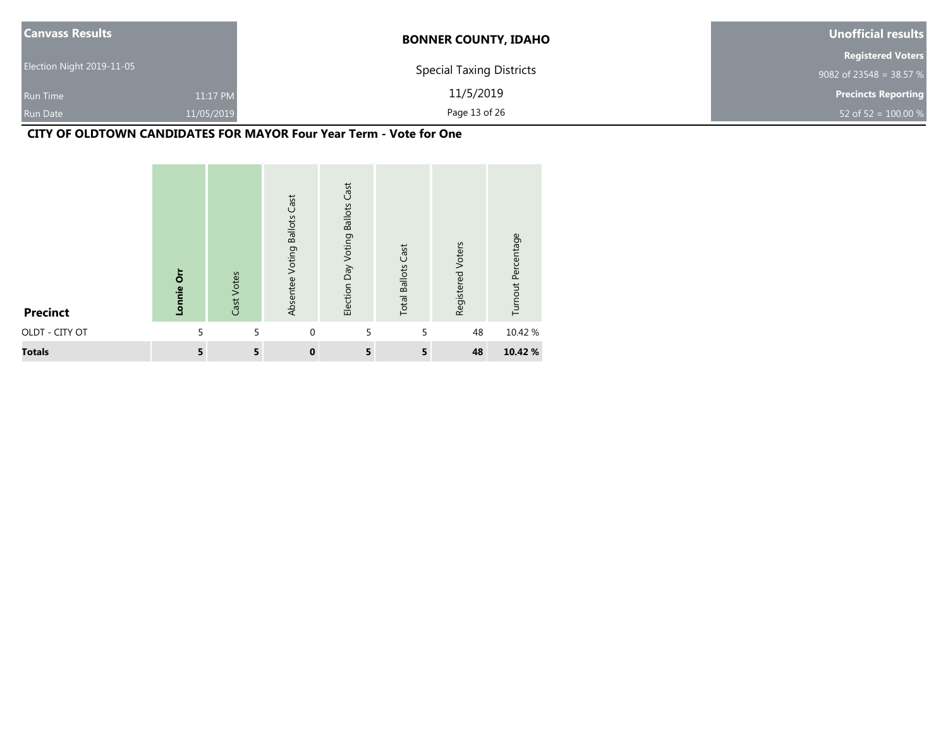| <b>Canvass Results</b>    |            | <b>BONNER COUNTY, IDAHO</b>     | Unofficial results         |
|---------------------------|------------|---------------------------------|----------------------------|
|                           |            |                                 | <b>Registered Voters</b>   |
| Election Night 2019-11-05 |            | <b>Special Taxing Districts</b> | 9082 of 23548 = 38.57 %    |
| <b>Run Time</b>           | 11:17 PM   | 11/5/2019                       | <b>Precincts Reporting</b> |
| <b>Run Date</b>           | 11/05/2019 | Page 13 of 26                   | 52 of 52 = $100.00\%$      |

### **CITY OF OLDTOWN CANDIDATES FOR MAYOR Four Year Term - Vote for One**

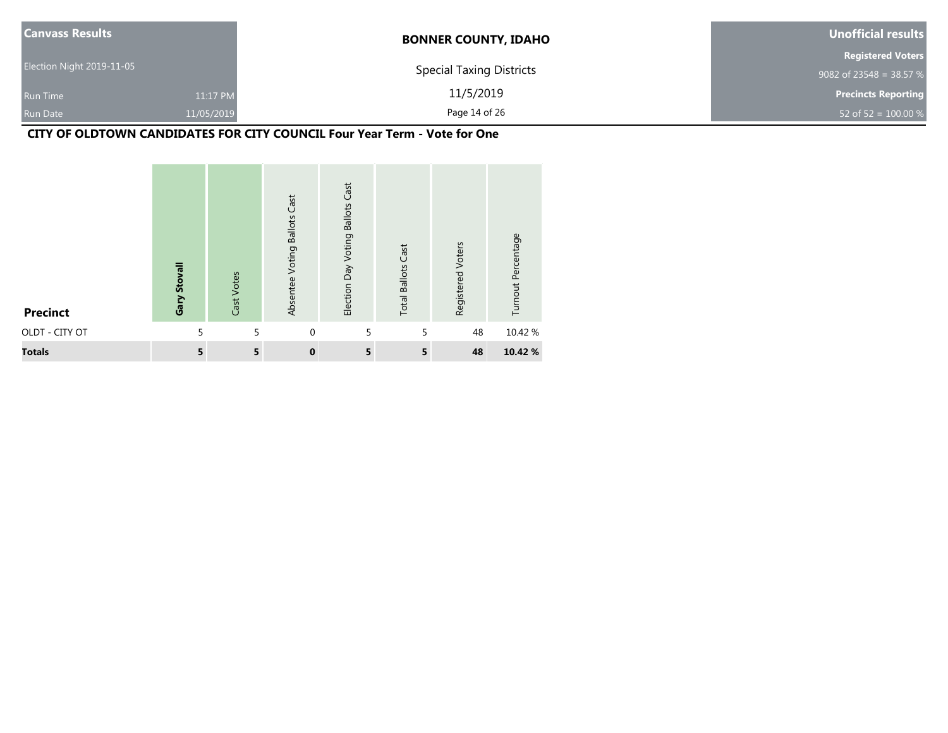| <b>Canvass Results</b>    |            | <b>BONNER COUNTY, IDAHO</b>     | Unofficial results         |
|---------------------------|------------|---------------------------------|----------------------------|
|                           |            |                                 | <b>Registered Voters</b>   |
| Election Night 2019-11-05 |            | <b>Special Taxing Districts</b> | 9082 of 23548 = 38.57 %    |
| <b>Run Time</b>           | 11:17 PM   | 11/5/2019                       | <b>Precincts Reporting</b> |
| <b>Run Date</b>           | 11/05/2019 | Page 14 of 26                   | 52 of 52 = $100.00\%$      |

# **CITY OF OLDTOWN CANDIDATES FOR CITY COUNCIL Four Year Term - Vote for One**

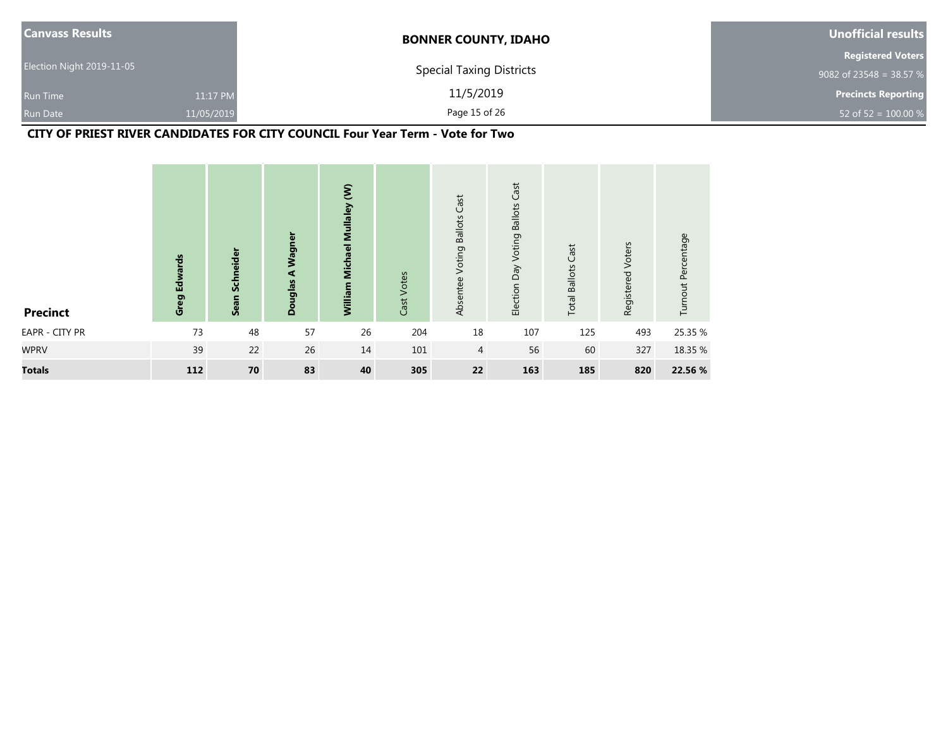| <b>Canvass Results</b>    |            | <b>BONNER COUNTY, IDAHO</b>     | Unofficial results         |
|---------------------------|------------|---------------------------------|----------------------------|
|                           |            |                                 | <b>Registered Voters</b>   |
| Election Night 2019-11-05 |            | <b>Special Taxing Districts</b> | 9082 of 23548 = 38.57 %    |
| <b>Run Time</b>           | 11:17 PM   | 11/5/2019                       | <b>Precincts Reporting</b> |
| Run Date                  | 11/05/2019 | Page 15 of 26                   | 52 of 52 = $100.00 %$      |

# **CITY OF PRIEST RIVER CANDIDATES FOR CITY COUNCIL Four Year Term - Vote for Two**

| <b>Precinct</b> | <b>Edwards</b><br>Greg | Sean Schneider | Wagner<br>$\blacktriangleleft$<br>Douglas | $\hat{\epsilon}$<br><b>Michael Mullaley</b><br>William | Cast Votes | Cast<br><b>Ballots</b><br>Voting<br>Absentee | Cast<br>Voting Ballots<br>Election Day | Cast<br><b>Total Ballots</b> | Voters<br>Registered | Turnout Percentage |
|-----------------|------------------------|----------------|-------------------------------------------|--------------------------------------------------------|------------|----------------------------------------------|----------------------------------------|------------------------------|----------------------|--------------------|
| EAPR - CITY PR  | 73                     | 48             | 57                                        | 26                                                     | 204        | 18                                           | 107                                    | 125                          | 493                  | 25.35 %            |
| <b>WPRV</b>     | 39                     | 22             | 26                                        | 14                                                     | 101        | 4                                            | 56                                     | 60                           | 327                  | 18.35 %            |
| <b>Totals</b>   | 112                    | 70             | 83                                        | 40                                                     | 305        | 22                                           | 163                                    | 185                          | 820                  | 22.56 %            |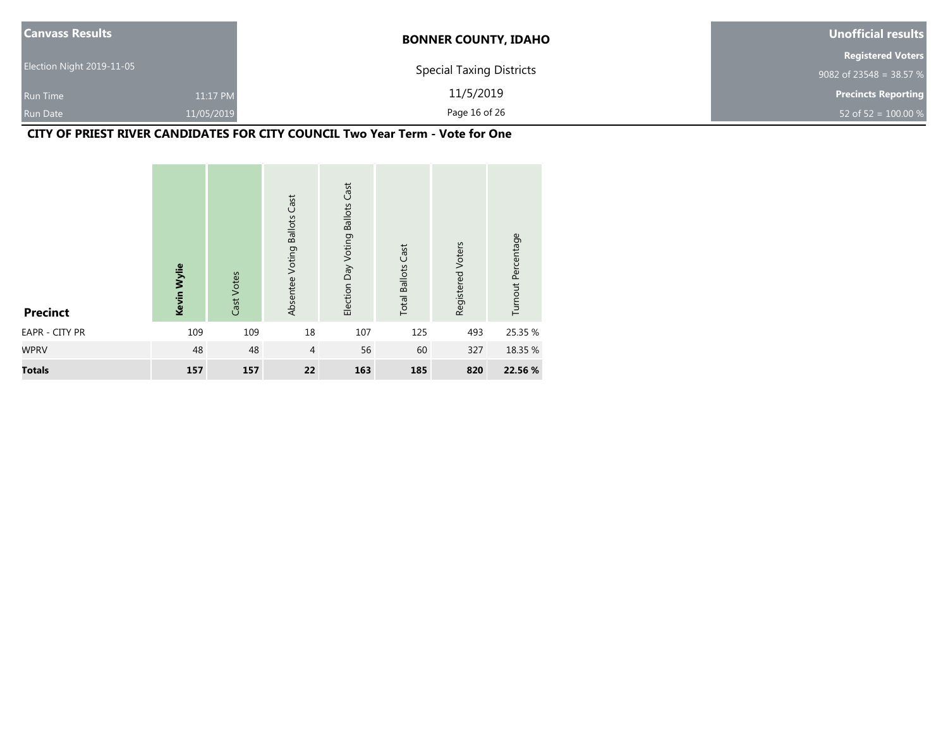| <b>Canvass Results</b>    |            | <b>BONNER COUNTY, IDAHO</b>     | Unofficial results         |
|---------------------------|------------|---------------------------------|----------------------------|
|                           |            |                                 | <b>Registered Voters</b>   |
| Election Night 2019-11-05 |            | <b>Special Taxing Districts</b> | 9082 of 23548 = 38.57 %    |
| <b>Run Time</b>           | 11:17 PM   | 11/5/2019                       | <b>Precincts Reporting</b> |
| <b>Run Date</b>           | 11/05/2019 | Page 16 of 26                   | 52 of $52 = 100.00 %$      |

# **CITY OF PRIEST RIVER CANDIDATES FOR CITY COUNCIL Two Year Term - Vote for One**

| <b>Precinct</b> | Kevin Wylie | Cast Votes | Absentee Voting Ballots Cast | <b>Ballots Cast</b><br>Election Day Voting | <b>Total Ballots Cast</b> | Registered Voters | Turnout Percentage |
|-----------------|-------------|------------|------------------------------|--------------------------------------------|---------------------------|-------------------|--------------------|
| EAPR - CITY PR  | 109         | 109        | 18                           | 107                                        | 125                       | 493               | 25.35 %            |
| <b>WPRV</b>     | 48          | 48         | $\overline{4}$               | 56                                         | 60                        | 327               | 18.35 %            |
| <b>Totals</b>   | 157         | 157        | 22                           | 163                                        | 185                       | 820               | 22.56 %            |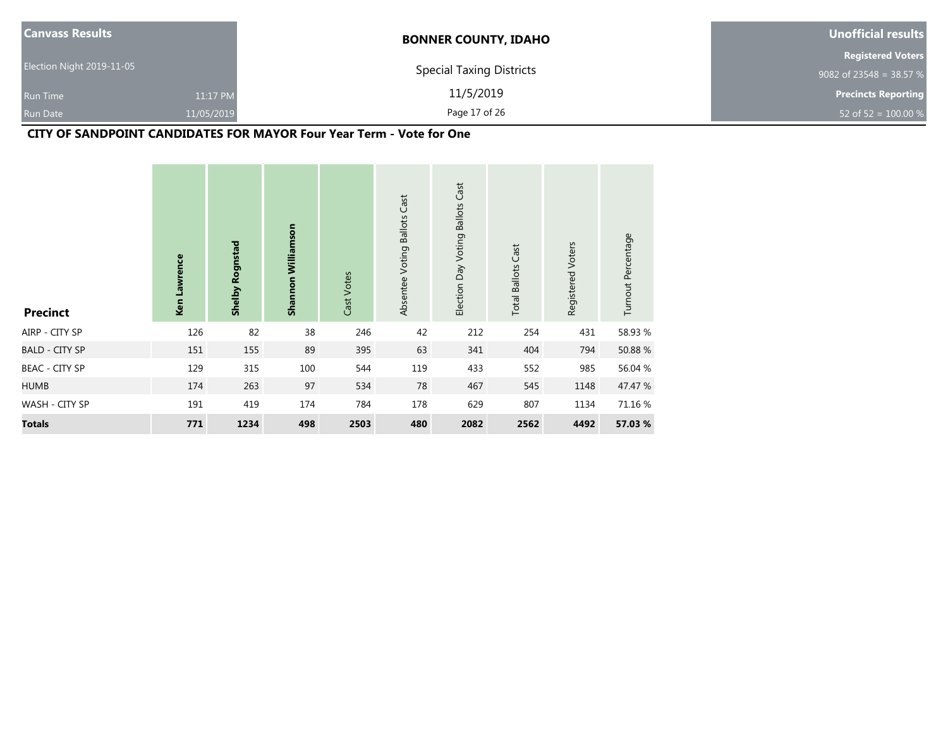| <b>Canvass Results</b>    |            | <b>BONNER COUNTY, IDAHO</b>     | Unofficial results         |
|---------------------------|------------|---------------------------------|----------------------------|
|                           |            |                                 | <b>Registered Voters</b>   |
| Election Night 2019-11-05 |            | <b>Special Taxing Districts</b> | 9082 of 23548 = 38.57 $%$  |
| Run Time                  | 11:17 PM   | 11/5/2019                       | <b>Precincts Reporting</b> |
| <b>Run Date</b>           | 11/05/2019 | Page 17 of 26                   | 52 of 52 = $100.00\%$      |

## **CITY OF SANDPOINT CANDIDATES FOR MAYOR Four Year Term - Vote for One**

| <b>Precinct</b>       | Ken Lawrence | <b>Shelby Rognstad</b> | Shannon Williamson | Cast Votes | Cast<br>Absentee Voting Ballots | Cast<br>Election Day Voting Ballots | <b>Total Ballots Cast</b> | Registered Voters | Turnout Percentage |
|-----------------------|--------------|------------------------|--------------------|------------|---------------------------------|-------------------------------------|---------------------------|-------------------|--------------------|
| AIRP - CITY SP        | 126          | 82                     | 38                 | 246        | 42                              | 212                                 | 254                       | 431               | 58.93 %            |
| <b>BALD - CITY SP</b> | 151          | 155                    | 89                 | 395        | 63                              | 341                                 | 404                       | 794               | 50.88 %            |
| <b>BEAC - CITY SP</b> | 129          | 315                    | 100                | 544        | 119                             | 433                                 | 552                       | 985               | 56.04 %            |
| <b>HUMB</b>           | 174          | 263                    | 97                 | 534        | 78                              | 467                                 | 545                       | 1148              | 47.47 %            |
| WASH - CITY SP        | 191          | 419                    | 174                | 784        | 178                             | 629                                 | 807                       | 1134              | 71.16 %            |
| <b>Totals</b>         | 771          | 1234                   | 498                | 2503       | 480                             | 2082                                | 2562                      | 4492              | 57.03 %            |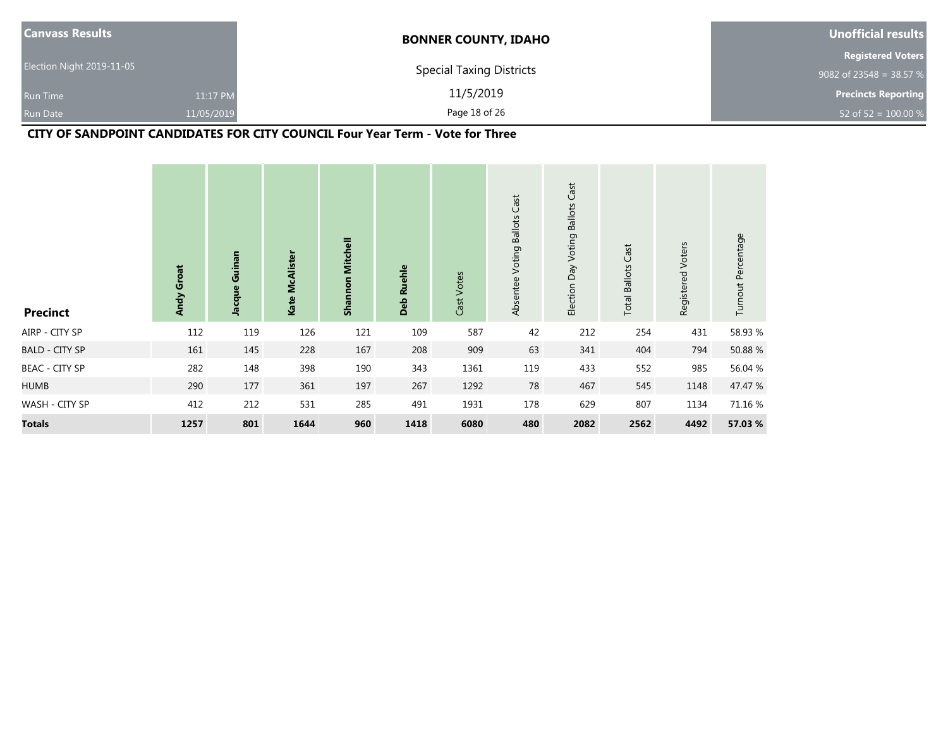| <b>Canvass Results</b>    |            | <b>BONNER COUNTY, IDAHO</b>     | Unofficial results         |
|---------------------------|------------|---------------------------------|----------------------------|
|                           |            |                                 | <b>Registered Voters</b>   |
| Election Night 2019-11-05 |            | <b>Special Taxing Districts</b> | 9082 of 23548 = 38.57 %    |
| <b>Run Time</b>           | 11:17 PM   | 11/5/2019                       | <b>Precincts Reporting</b> |
| <b>Run Date</b>           | 11/05/2019 | Page 18 of 26                   | 52 of $52 = 100.00 %$      |

# **CITY OF SANDPOINT CANDIDATES FOR CITY COUNCIL Four Year Term - Vote for Three**

| <b>Precinct</b>       | Andy Groat | Jacque Guinan | Kate McAlister | Shannon Mitchell | Ruehle<br>Deb | Cast Votes | Absentee Voting Ballots Cast | Cast<br><b>Ballots</b><br>Election Day Voting | <b>Total Ballots Cast</b> | Registered Voters | Turnout Percentage |
|-----------------------|------------|---------------|----------------|------------------|---------------|------------|------------------------------|-----------------------------------------------|---------------------------|-------------------|--------------------|
| AIRP - CITY SP        | 112        | 119           | 126            | 121              | 109           | 587        | 42                           | 212                                           | 254                       | 431               | 58.93 %            |
| <b>BALD - CITY SP</b> | 161        | 145           | 228            | 167              | 208           | 909        | 63                           | 341                                           | 404                       | 794               | 50.88 %            |
| BEAC - CITY SP        | 282        | 148           | 398            | 190              | 343           | 1361       | 119                          | 433                                           | 552                       | 985               | 56.04 %            |
| <b>HUMB</b>           | 290        | 177           | 361            | 197              | 267           | 1292       | 78                           | 467                                           | 545                       | 1148              | 47.47 %            |
| WASH - CITY SP        | 412        | 212           | 531            | 285              | 491           | 1931       | 178                          | 629                                           | 807                       | 1134              | 71.16 %            |
| <b>Totals</b>         | 1257       | 801           | 1644           | 960              | 1418          | 6080       | 480                          | 2082                                          | 2562                      | 4492              | 57.03 %            |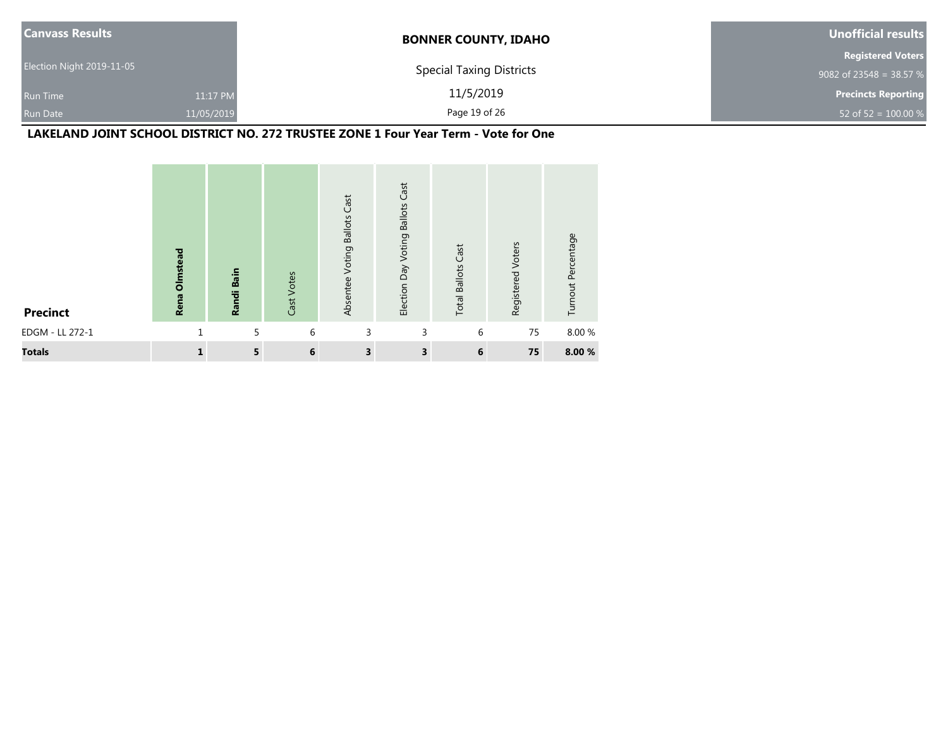| <b>Canvass Results</b>    |            | <b>BONNER COUNTY, IDAHO</b>     | Unofficial results         |
|---------------------------|------------|---------------------------------|----------------------------|
|                           |            |                                 | <b>Registered Voters</b>   |
| Election Night 2019-11-05 |            | <b>Special Taxing Districts</b> | 9082 of 23548 = 38.57 %    |
| <b>Run Time</b>           | 11:17 PM   | 11/5/2019                       | <b>Precincts Reporting</b> |
| <b>Run Date</b>           | 11/05/2019 | Page 19 of 26                   | 52 of 52 = $100.00 %$      |

# **LAKELAND JOINT SCHOOL DISTRICT NO. 272 TRUSTEE ZONE 1 Four Year Term - Vote for One**

| <b>Precinct</b> | <b>Rena Olmstead</b> | Bain<br>Randi | Cast Votes | Absentee Voting Ballots Cast | Cast<br><b>Ballots</b><br>Voting<br>Election Day | Cast<br><b>Total Ballots</b> | Registered Voters | Turnout Percentage |
|-----------------|----------------------|---------------|------------|------------------------------|--------------------------------------------------|------------------------------|-------------------|--------------------|
| EDGM - LL 272-1 |                      | 5             | 6          | 3                            | 3                                                | 6                            | 75                | 8.00 %             |
| <b>Totals</b>   | 1                    | 5             | 6          | 3                            | 3                                                | 6                            | 75                | 8.00 %             |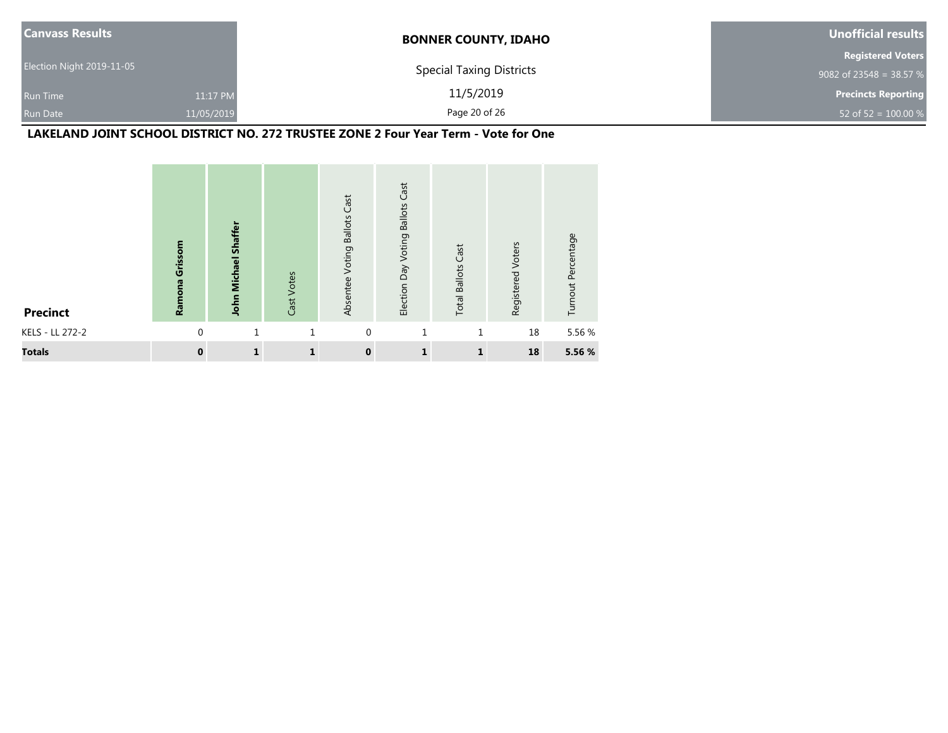| <b>Canvass Results</b>    |            | <b>BONNER COUNTY, IDAHO</b>     | <b>Unofficial results</b>  |
|---------------------------|------------|---------------------------------|----------------------------|
|                           |            |                                 | <b>Registered Voters</b>   |
| Election Night 2019-11-05 |            | <b>Special Taxing Districts</b> | 9082 of 23548 = 38.57 %    |
| <b>Run Time</b>           | 11:17 PM   | 11/5/2019                       | <b>Precincts Reporting</b> |
| <b>Run Date</b>           | 11/05/2019 | Page 20 of 26                   | 52 of 52 = $100.00\%$      |

# **LAKELAND JOINT SCHOOL DISTRICT NO. 272 TRUSTEE ZONE 2 Four Year Term - Vote for One**

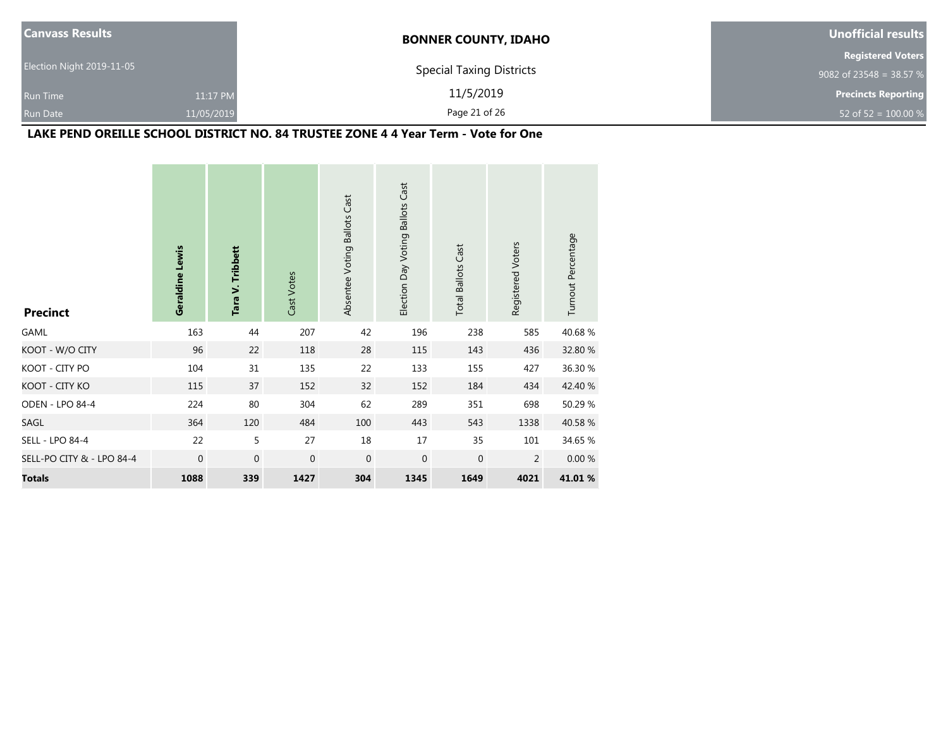| <b>Canvass Results</b>    |            | <b>BONNER COUNTY, IDAHO</b>     | <b>Unofficial results</b>  |
|---------------------------|------------|---------------------------------|----------------------------|
|                           |            |                                 | <b>Registered Voters</b>   |
| Election Night 2019-11-05 |            | <b>Special Taxing Districts</b> | 9082 of 23548 = 38.57 %    |
| <b>Run Time</b>           | 11:17 PM   | 11/5/2019                       | <b>Precincts Reporting</b> |
| <b>Run Date</b>           | 11/05/2019 | Page 21 of 26                   | 52 of 52 = $100.00\%$      |

# **LAKE PEND OREILLE SCHOOL DISTRICT NO. 84 TRUSTEE ZONE 4 4 Year Term - Vote for One**

| <b>Precinct</b>           | Geraldine Lewis | Tara V. Tribbett | Cast Votes  | Absentee Voting Ballots Cast | Election Day Voting Ballots Cast | <b>Total Ballots Cast</b> | Registered Voters | Turnout Percentage |
|---------------------------|-----------------|------------------|-------------|------------------------------|----------------------------------|---------------------------|-------------------|--------------------|
| GAML                      | 163             | 44               | 207         | 42                           | 196                              | 238                       | 585               | 40.68%             |
| KOOT - W/O CITY           | 96              | 22               | 118         | 28                           | 115                              | 143                       | 436               | 32.80 %            |
| KOOT - CITY PO            | 104             | 31               | 135         | 22                           | 133                              | 155                       | 427               | 36.30 %            |
| KOOT - CITY KO            | 115             | 37               | 152         | 32                           | 152                              | 184                       | 434               | 42.40 %            |
| <b>ODEN - LPO 84-4</b>    | 224             | 80               | 304         | 62                           | 289                              | 351                       | 698               | 50.29 %            |
| SAGL                      | 364             | 120              | 484         | 100                          | 443                              | 543                       | 1338              | 40.58 %            |
| <b>SELL - LPO 84-4</b>    | 22              | 5                | 27          | 18                           | 17                               | 35                        | 101               | 34.65 %            |
| SELL-PO CITY & - LPO 84-4 | 0               | $\mathbf 0$      | $\mathbf 0$ | $\mathbf{0}$                 | $\mathbf 0$                      | $\mathbf 0$               | 2                 | 0.00%              |
| <b>Totals</b>             | 1088            | 339              | 1427        | 304                          | 1345                             | 1649                      | 4021              | 41.01 %            |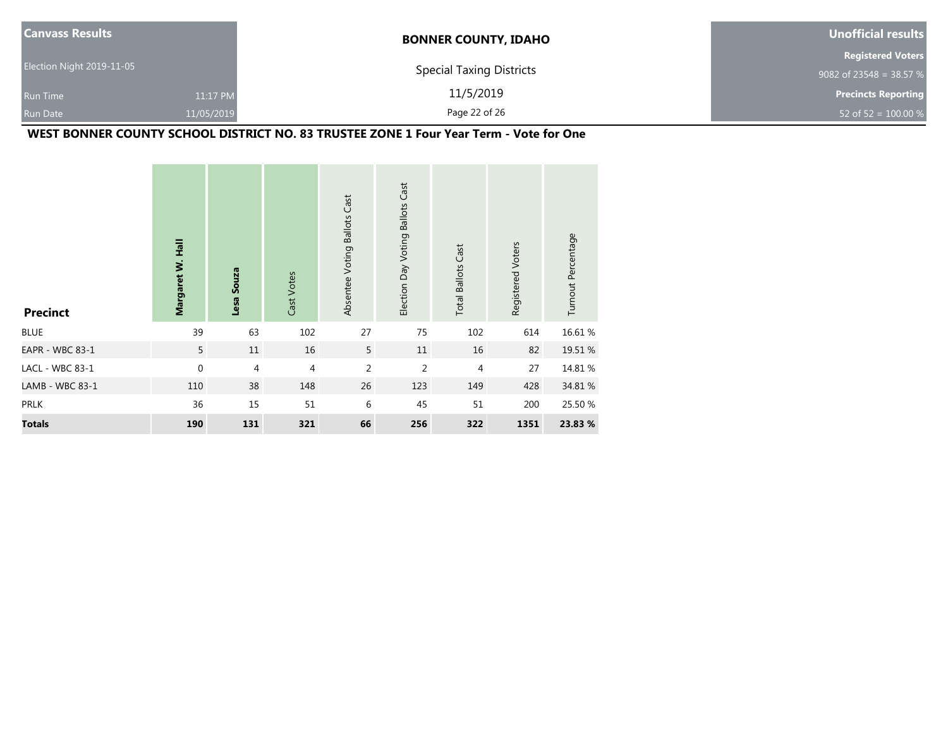| <b>Canvass Results</b>    |            | <b>BONNER COUNTY, IDAHO</b>     | Unofficial results         |
|---------------------------|------------|---------------------------------|----------------------------|
|                           |            |                                 | <b>Registered Voters</b>   |
| Election Night 2019-11-05 |            | <b>Special Taxing Districts</b> | 9082 of 23548 = 38.57 %    |
| <b>Run Time</b>           | 11:17 PM   | 11/5/2019                       | <b>Precincts Reporting</b> |
| <b>Run Date</b>           | 11/05/2019 | Page 22 of 26                   | 52 of 52 = $100.00 %$      |

# **WEST BONNER COUNTY SCHOOL DISTRICT NO. 83 TRUSTEE ZONE 1 Four Year Term - Vote for One**

| <b>Precinct</b>        | Margaret W. Hall | Lesa Souza     | Cast Votes     | Absentee Voting Ballots Cast | Election Day Voting Ballots Cast | <b>Total Ballots Cast</b> | Registered Voters | Turnout Percentage |
|------------------------|------------------|----------------|----------------|------------------------------|----------------------------------|---------------------------|-------------------|--------------------|
| <b>BLUE</b>            | 39               | 63             | 102            | 27                           | 75                               | 102                       | 614               | 16.61 %            |
| <b>EAPR - WBC 83-1</b> | 5                | 11             | 16             | 5                            | 11                               | 16                        | 82                | 19.51 %            |
| LACL - WBC 83-1        | $\mathbf{0}$     | $\overline{4}$ | $\overline{4}$ | $\overline{2}$               | $\overline{2}$                   | $\overline{4}$            | 27                | 14.81 %            |
| LAMB - WBC 83-1        | 110              | 38             | 148            | 26                           | 123                              | 149                       | 428               | 34.81 %            |
| <b>PRLK</b>            | 36               | 15             | 51             | 6                            | 45                               | 51                        | 200               | 25.50 %            |
| <b>Totals</b>          | 190              | 131            | 321            | 66                           | 256                              | 322                       | 1351              | 23.83 %            |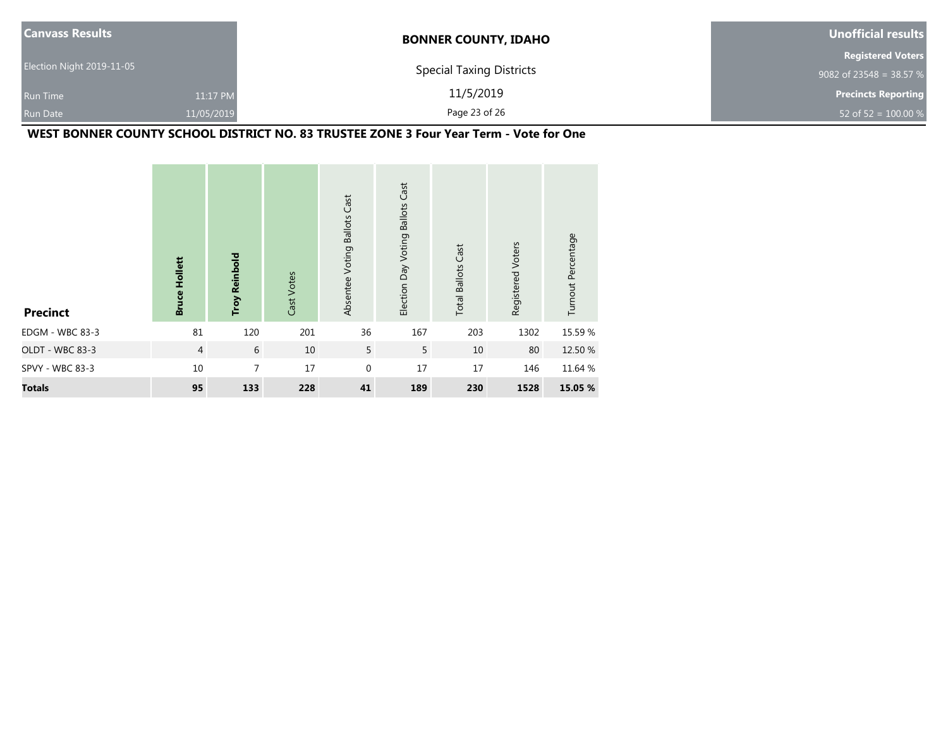| <b>Canvass Results</b>    |            | <b>BONNER COUNTY, IDAHO</b>     | Unofficial results         |
|---------------------------|------------|---------------------------------|----------------------------|
|                           |            |                                 | <b>Registered Voters</b>   |
| Election Night 2019-11-05 |            | <b>Special Taxing Districts</b> | 9082 of 23548 = 38.57 $%$  |
| <b>Run Time</b>           | 11:17 PM   | 11/5/2019                       | <b>Precincts Reporting</b> |
| <b>Run Date</b>           | 11/05/2019 | Page 23 of 26                   | 52 of 52 = $100.00 %$      |

# **WEST BONNER COUNTY SCHOOL DISTRICT NO. 83 TRUSTEE ZONE 3 Four Year Term - Vote for One**

| <b>Precinct</b> | <b>Bruce Hollett</b> | <b>Troy Reinbold</b> | Cast Votes | Absentee Voting Ballots Cast | <b>Ballots Cast</b><br>Election Day Voting | <b>Total Ballots Cast</b> | Registered Voters | Turnout Percentage |
|-----------------|----------------------|----------------------|------------|------------------------------|--------------------------------------------|---------------------------|-------------------|--------------------|
| EDGM - WBC 83-3 | 81                   | 120                  | 201        | 36                           | 167                                        | 203                       | 1302              | 15.59 %            |
| OLDT - WBC 83-3 | $\overline{4}$       | 6                    | 10         | 5                            | 5                                          | 10                        | 80                | 12.50 %            |
| SPVY - WBC 83-3 | 10                   | 7                    | 17         | $\mathbf 0$                  | 17                                         | 17                        | 146               | 11.64 %            |
| <b>Totals</b>   | 95                   | 133                  | 228        | 41                           | 189                                        | 230                       | 1528              | 15.05 %            |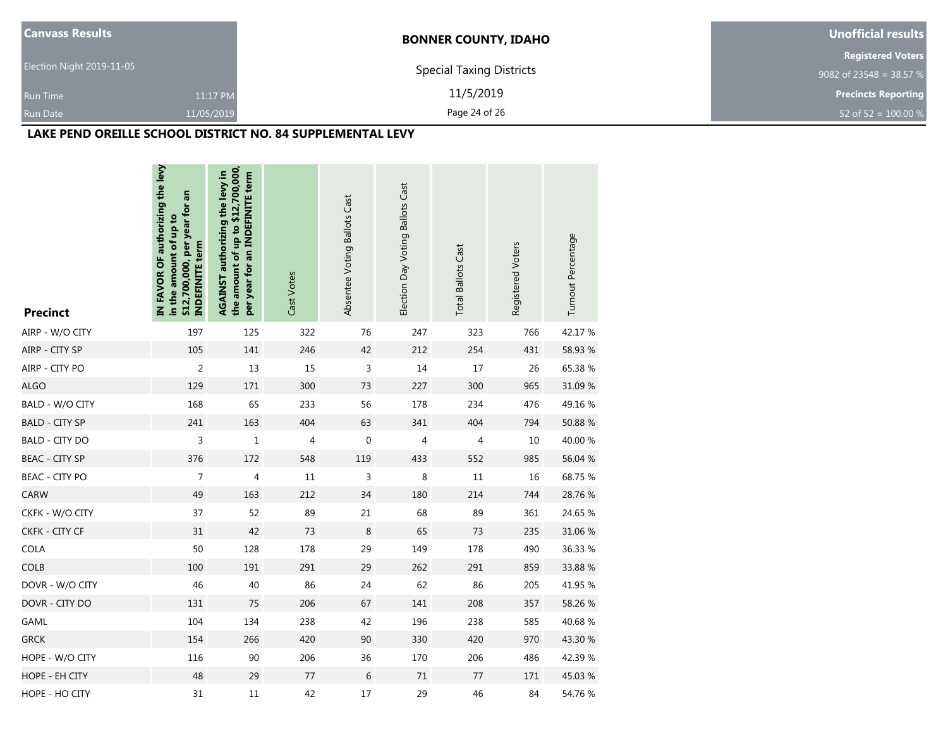| <b>Canvass Results</b>      | <b>BONNER COUNTY, IDAHO</b>     | Unofficial results         |  |  |
|-----------------------------|---------------------------------|----------------------------|--|--|
|                             |                                 | <b>Registered Voters</b>   |  |  |
| Election Night 2019-11-05   | <b>Special Taxing Districts</b> | 9082 of 23548 = 38.57 %    |  |  |
| <b>Run Time</b><br>11:17 PM | 11/5/2019                       | <b>Precincts Reporting</b> |  |  |
| Run Date<br>11/05/2019      | Page 24 of 26                   | 52 of 52 = $100.00\%$      |  |  |

#### **LAKE PEND OREILLE SCHOOL DISTRICT NO. 84 SUPPLEMENTAL LEVY**

| <b>Precinct</b>       | IN FAVOR OF authorizing the levy<br>\$12,700,000, per year for an<br>in the amount of up to<br><b>INDEFINITE term</b> | the amount of up to \$12,700,000,<br>AGAINST authorizing the levy in<br>per year for an INDEFINITE term | Cast Votes | Absentee Voting Ballots Cast | Election Day Voting Ballots Cast | <b>Total Ballots Cast</b> | Registered Voters | Turnout Percentage |
|-----------------------|-----------------------------------------------------------------------------------------------------------------------|---------------------------------------------------------------------------------------------------------|------------|------------------------------|----------------------------------|---------------------------|-------------------|--------------------|
| AIRP - W/O CITY       | 197                                                                                                                   | 125                                                                                                     | 322        | 76                           | 247                              | 323                       | 766               | 42.17%             |
| AIRP - CITY SP        | 105                                                                                                                   | 141                                                                                                     | 246        | 42                           | 212                              | 254                       | 431               | 58.93 %            |
| AIRP - CITY PO        | $\overline{c}$                                                                                                        | 13                                                                                                      | 15         | $\mathsf 3$                  | 14                               | 17                        | 26                | 65.38%             |
| <b>ALGO</b>           | 129                                                                                                                   | 171                                                                                                     | 300        | 73                           | 227                              | 300                       | 965               | 31.09 %            |
| BALD - W/O CITY       | 168                                                                                                                   | 65                                                                                                      | 233        | 56                           | 178                              | 234                       | 476               | 49.16%             |
| <b>BALD - CITY SP</b> | 241                                                                                                                   | 163                                                                                                     | 404        | 63                           | 341                              | 404                       | 794               | 50.88%             |
| <b>BALD - CITY DO</b> | 3                                                                                                                     | $\mathbf 1$                                                                                             | 4          | $\boldsymbol{0}$             | 4                                | 4                         | 10                | 40.00 %            |
| <b>BEAC - CITY SP</b> | 376                                                                                                                   | 172                                                                                                     | 548        | 119                          | 433                              | 552                       | 985               | 56.04 %            |
| <b>BEAC - CITY PO</b> | $\overline{\mathcal{I}}$                                                                                              | $\overline{\mathcal{A}}$                                                                                | $11\,$     | $\mathsf 3$                  | 8                                | $11\,$                    | 16                | 68.75 %            |
| CARW                  | 49                                                                                                                    | 163                                                                                                     | 212        | 34                           | 180                              | 214                       | 744               | 28.76%             |
| CKFK - W/O CITY       | 37                                                                                                                    | 52                                                                                                      | 89         | 21                           | 68                               | 89                        | 361               | 24.65 %            |
| CKFK - CITY CF        | 31                                                                                                                    | 42                                                                                                      | 73         | $\,8\,$                      | 65                               | 73                        | 235               | 31.06%             |
| COLA                  | 50                                                                                                                    | 128                                                                                                     | 178        | 29                           | 149                              | 178                       | 490               | 36.33 %            |
| <b>COLB</b>           | 100                                                                                                                   | 191                                                                                                     | 291        | 29                           | 262                              | 291                       | 859               | 33.88%             |
| DOVR - W/O CITY       | 46                                                                                                                    | 40                                                                                                      | 86         | 24                           | 62                               | 86                        | 205               | 41.95 %            |
| DOVR - CITY DO        | 131                                                                                                                   | 75                                                                                                      | 206        | 67                           | 141                              | 208                       | 357               | 58.26 %            |
| GAML                  | 104                                                                                                                   | 134                                                                                                     | 238        | 42                           | 196                              | 238                       | 585               | 40.68%             |
| <b>GRCK</b>           | 154                                                                                                                   | 266                                                                                                     | 420        | 90                           | 330                              | 420                       | 970               | 43.30 %            |
| HOPE - W/O CITY       | 116                                                                                                                   | $90\,$                                                                                                  | 206        | 36                           | 170                              | 206                       | 486               | 42.39%             |
| HOPE - EH CITY        | 48                                                                                                                    | 29                                                                                                      | 77         | 6                            | $71\,$                           | 77                        | 171               | 45.03%             |
| HOPE - HO CITY        | 31                                                                                                                    | 11                                                                                                      | 42         | 17                           | 29                               | 46                        | 84                | 54.76 %            |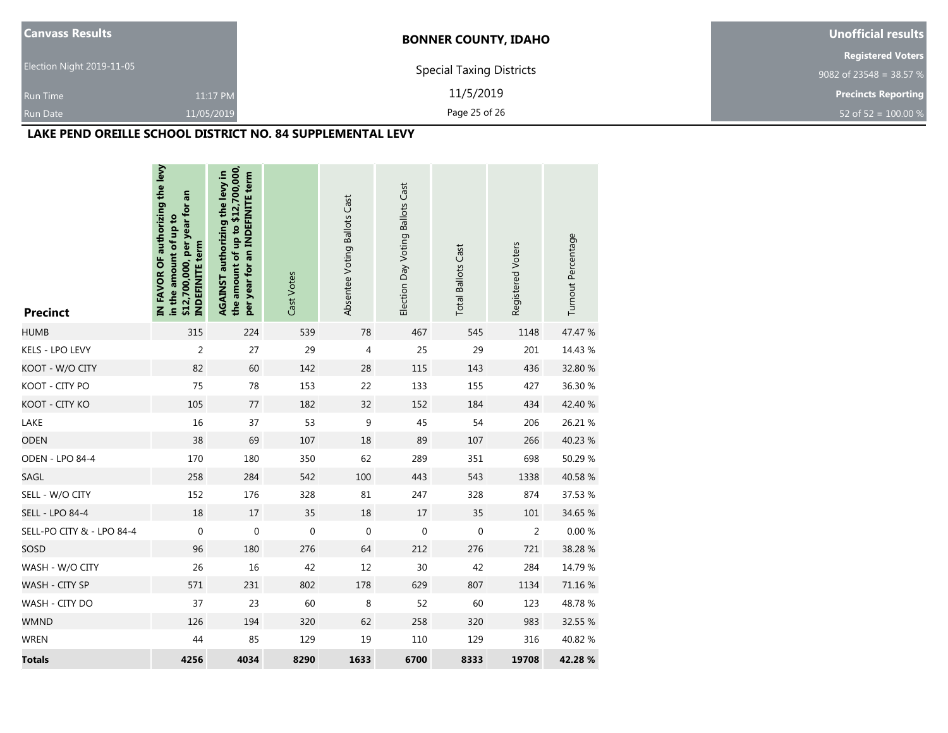| <b>Canvass Results</b>    |            | <b>BONNER COUNTY, IDAHO</b>     | Unofficial results         |  |  |
|---------------------------|------------|---------------------------------|----------------------------|--|--|
|                           |            |                                 | <b>Registered Voters</b>   |  |  |
| Election Night 2019-11-05 |            | <b>Special Taxing Districts</b> | 9082 of 23548 = 38.57 %    |  |  |
| <b>Run Time</b>           | 11:17 PM   | 11/5/2019                       | <b>Precincts Reporting</b> |  |  |
| Run Date                  | 11/05/2019 | Page 25 of 26                   | 52 of 52 = $100.00\%$      |  |  |

## **LAKE PEND OREILLE SCHOOL DISTRICT NO. 84 SUPPLEMENTAL LEVY**

| <b>Precinct</b>           | IN FAVOR OF authorizing the levy<br>an<br>\$12,700,000, per year for<br>in the amount of up to<br><b>INDEFINITE term</b> | the amount of up to \$12,700,000,<br>AGAINST authorizing the levy in<br>per year for an INDEFINITE term | Cast Votes  | Absentee Voting Ballots Cast | Election Day Voting Ballots Cast | <b>Total Ballots Cast</b> | Registered Voters | Turnout Percentage |
|---------------------------|--------------------------------------------------------------------------------------------------------------------------|---------------------------------------------------------------------------------------------------------|-------------|------------------------------|----------------------------------|---------------------------|-------------------|--------------------|
| <b>HUMB</b>               | 315                                                                                                                      | 224                                                                                                     | 539         | 78                           | 467                              | 545                       | 1148              | 47.47 %            |
| KELS - LPO LEVY           | $\overline{2}$                                                                                                           | 27                                                                                                      | 29          | $\overline{4}$               | 25                               | 29                        | 201               | 14.43 %            |
| KOOT - W/O CITY           | 82                                                                                                                       | 60                                                                                                      | 142         | 28                           | 115                              | 143                       | 436               | 32.80 %            |
| KOOT - CITY PO            | 75                                                                                                                       | 78                                                                                                      | 153         | 22                           | 133                              | 155                       | 427               | 36.30 %            |
| KOOT - CITY KO            | 105                                                                                                                      | 77                                                                                                      | 182         | 32                           | 152                              | 184                       | 434               | 42.40 %            |
| LAKE                      | 16                                                                                                                       | 37                                                                                                      | 53          | 9                            | 45                               | 54                        | 206               | 26.21 %            |
| <b>ODEN</b>               | 38                                                                                                                       | 69                                                                                                      | 107         | 18                           | 89                               | 107                       | 266               | 40.23 %            |
| ODEN - LPO 84-4           | 170                                                                                                                      | 180                                                                                                     | 350         | 62                           | 289                              | 351                       | 698               | 50.29 %            |
| SAGL                      | 258                                                                                                                      | 284                                                                                                     | 542         | 100                          | 443                              | 543                       | 1338              | 40.58 %            |
| SELL - W/O CITY           | 152                                                                                                                      | 176                                                                                                     | 328         | 81                           | 247                              | 328                       | 874               | 37.53 %            |
| <b>SELL - LPO 84-4</b>    | 18                                                                                                                       | $17\,$                                                                                                  | 35          | 18                           | $17\,$                           | 35                        | 101               | 34.65 %            |
| SELL-PO CITY & - LPO 84-4 | $\mathbf 0$                                                                                                              | $\boldsymbol{0}$                                                                                        | $\mathbf 0$ | $\mathbf 0$                  | $\mathbf 0$                      | $\mathbf 0$               | $\overline{2}$    | 0.00%              |
| SOSD                      | 96                                                                                                                       | 180                                                                                                     | 276         | 64                           | 212                              | 276                       | 721               | 38.28%             |
| WASH - W/O CITY           | 26                                                                                                                       | 16                                                                                                      | 42          | 12                           | 30                               | 42                        | 284               | 14.79 %            |
| WASH - CITY SP            | 571                                                                                                                      | 231                                                                                                     | 802         | 178                          | 629                              | 807                       | 1134              | 71.16 %            |
| WASH - CITY DO            | 37                                                                                                                       | 23                                                                                                      | 60          | 8                            | 52                               | 60                        | 123               | 48.78%             |
| <b>WMND</b>               | 126                                                                                                                      | 194                                                                                                     | 320         | 62                           | 258                              | 320                       | 983               | 32.55 %            |
| <b>WREN</b>               | 44                                                                                                                       | 85                                                                                                      | 129         | 19                           | 110                              | 129                       | 316               | 40.82%             |
| <b>Totals</b>             | 4256                                                                                                                     | 4034                                                                                                    | 8290        | 1633                         | 6700                             | 8333                      | 19708             | 42.28 %            |